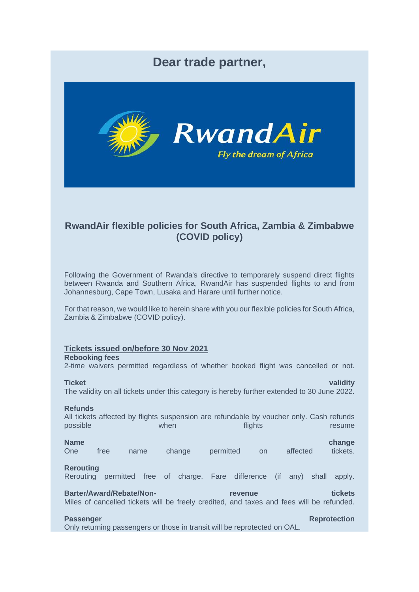# **Dear trade partner,**



## **RwandAir flexible policies for South Africa, Zambia & Zimbabwe (COVID policy)**

Following the Government of Rwanda's directive to temporarely suspend direct flights between Rwanda and Southern Africa, RwandAir has suspended flights to and from Johannesburg, Cape Town, Lusaka and Harare until further notice.

For that reason, we would like to herein share with you our flexible policies for South Africa, Zambia & Zimbabwe (COVID policy).

## **Tickets issued on/before 30 Nov 2021**

## **Rebooking fees**

2-time waivers permitted regardless of whether booked flight was cancelled or not.

**Ticket validity** The validity on all tickets under this category is hereby further extended to 30 June 2022.

### **Refunds**

All tickets affected by flights suspension are refundable by voucher only. Cash refunds possible when flights flights resume

**Name change changes in the change of the change of the change of the change change** One free name change permitted on affected tickets. **Rerouting**

## Rerouting permitted free of charge. Fare difference (if any) shall apply.

**Barter/Award/Rebate/Non- revenue tickets** Miles of cancelled tickets will be freely credited, and taxes and fees will be refunded.

## **Passenger Reprotection**

Only returning passengers or those in transit will be reprotected on OAL.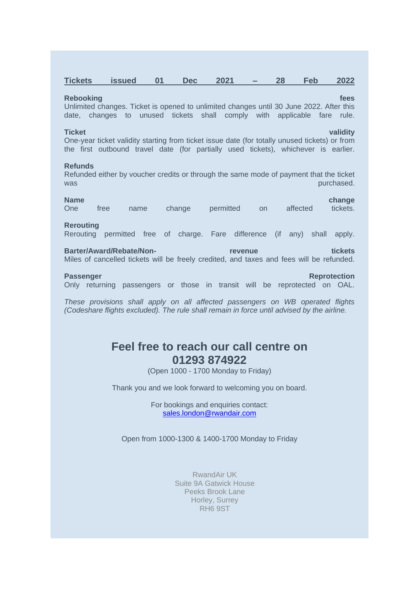| <b>Tickets</b> | issued | <b>Dec</b> | 2021 | 28 | <b>Feb</b> | 2022 |
|----------------|--------|------------|------|----|------------|------|
|                |        |            |      |    |            |      |

### **Rebooking fees** and the control of the control of the control of the control of the control of the control of the control of the control of the control of the control of the control of the control of the control of the co

Unlimited changes. Ticket is opened to unlimited changes until 30 June 2022. After this date, changes to unused tickets shall comply with applicable fare rule.

**Ticket validity** One-year ticket validity starting from ticket issue date (for totally unused tickets) or from the first outbound travel date (for partially used tickets), whichever is earlier.

### **Refunds**

Refunded either by voucher credits or through the same mode of payment that the ticket was purchased. The contract of the contract of the contract of the contract of the contract of the contract of the contract of the contract of the contract of the contract of the contract of the contract of the contract of

**Name change changes in the change of the change of the change of the change change** One free name change permitted on affected tickets. **Rerouting** Rerouting permitted free of charge. Fare difference (if any) shall apply. **Barter/Award/Rebate/Non- revenue tickets** Miles of cancelled tickets will be freely credited, and taxes and fees will be refunded. **Passenger Reprotection** Only returning passengers or those in transit will be reprotected on OAL.

*These provisions shall apply on all affected passengers on WB operated flights (Codeshare flights excluded). The rule shall remain in force until advised by the airline.*

# **Feel free to reach our call centre on 01293 874922**

(Open 1000 - 1700 Monday to Friday)

Thank you and we look forward to welcoming you on board.

For bookings and enquiries contact: [sales.london@rwandair.com](mailto:sales.london@rwandair.com)

Open from 1000-1300 & 1400-1700 Monday to Friday

RwandAir UK Suite 9A Gatwick House Peeks Brook Lane Horley, Surrey RH6 9ST